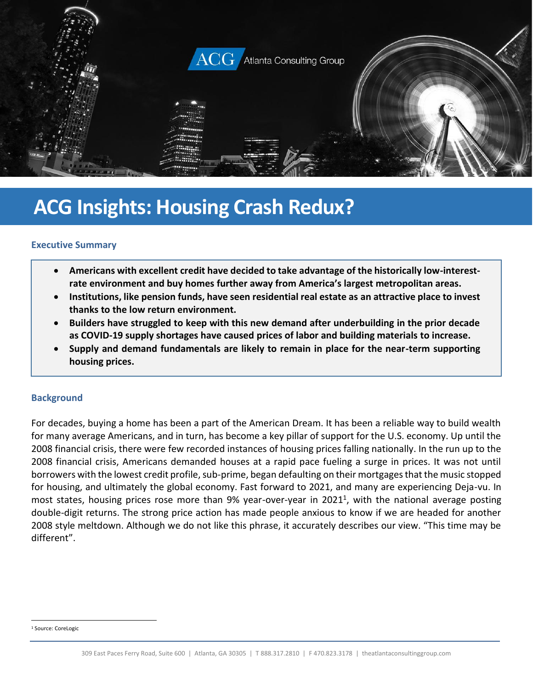

# **ACG Insights: Housing Crash Redux?**

#### **Executive Summary**

- **Americans with excellent credit have decided to take advantage of the historically low-interestrate environment and buy homes further away from America's largest metropolitan areas.**
- **Institutions, like pension funds, have seen residential real estate as an attractive place to invest thanks to the low return environment.**
- **Builders have struggled to keep with this new demand after underbuilding in the prior decade as COVID-19 supply shortages have caused prices of labor and building materials to increase.**
- **Supply and demand fundamentals are likely to remain in place for the near-term supporting housing prices.**

#### **Background**

For decades, buying a home has been a part of the American Dream. It has been a reliable way to build wealth for many average Americans, and in turn, has become a key pillar of support for the U.S. economy. Up until the 2008 financial crisis, there were few recorded instances of housing prices falling nationally. In the run up to the 2008 financial crisis, Americans demanded houses at a rapid pace fueling a surge in prices. It was not until borrowers with the lowest credit profile, sub-prime, began defaulting on their mortgages that the music stopped for housing, and ultimately the global economy. Fast forward to 2021, and many are experiencing Deja-vu. In most states, housing prices rose more than 9% year-over-year in 2021<sup>1</sup>, with the national average posting double-digit returns. The strong price action has made people anxious to know if we are headed for another 2008 style meltdown. Although we do not like this phrase, it accurately describes our view. "This time may be different".

<sup>1</sup> Source: CoreLogic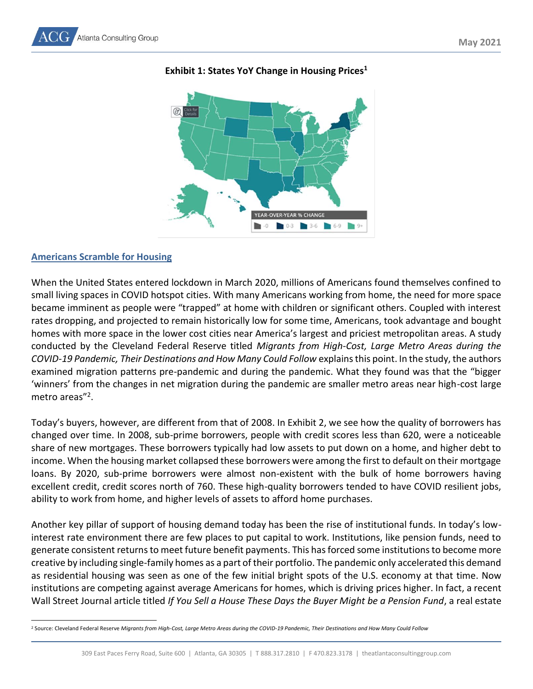

# **Exhibit 1: States YoY Change in Housing Prices<sup>1</sup>**

#### **Americans Scramble for Housing**

When the United States entered lockdown in March 2020, millions of Americans found themselves confined to small living spaces in COVID hotspot cities. With many Americans working from home, the need for more space became imminent as people were "trapped" at home with children or significant others. Coupled with interest rates dropping, and projected to remain historically low for some time, Americans, took advantage and bought homes with more space in the lower cost cities near America's largest and priciest metropolitan areas. A study conducted by the Cleveland Federal Reserve titled *Migrants from High-Cost, Large Metro Areas during the COVID-19 Pandemic, Their Destinations and How Many Could Follow* explainsthis point. In the study, the authors examined migration patterns pre-pandemic and during the pandemic. What they found was that the "bigger 'winners' from the changes in net migration during the pandemic are smaller metro areas near high-cost large metro areas"<sup>2</sup>.

Today's buyers, however, are different from that of 2008. In Exhibit 2, we see how the quality of borrowers has changed over time. In 2008, sub-prime borrowers, people with credit scores less than 620, were a noticeable share of new mortgages. These borrowers typically had low assets to put down on a home, and higher debt to income. When the housing market collapsed these borrowers were among the first to default on their mortgage loans. By 2020, sub-prime borrowers were almost non-existent with the bulk of home borrowers having excellent credit, credit scores north of 760. These high-quality borrowers tended to have COVID resilient jobs, ability to work from home, and higher levels of assets to afford home purchases.

Another key pillar of support of housing demand today has been the rise of institutional funds. In today's lowinterest rate environment there are few places to put capital to work. Institutions, like pension funds, need to generate consistent returns to meet future benefit payments. This has forced some institutions to become more creative by including single-family homes as a part of their portfolio. The pandemic only accelerated this demand as residential housing was seen as one of the few initial bright spots of the U.S. economy at that time. Now institutions are competing against average Americans for homes, which is driving prices higher. In fact, a recent Wall Street Journal article titled *If You Sell a House These Days the Buyer Might be a Pension Fund*, a real estate

<sup>2</sup> Source: Cleveland Federal Reserve *Migrants from High-Cost, Large Metro Areas during the COVID-19 Pandemic, Their Destinations and How Many Could Follow*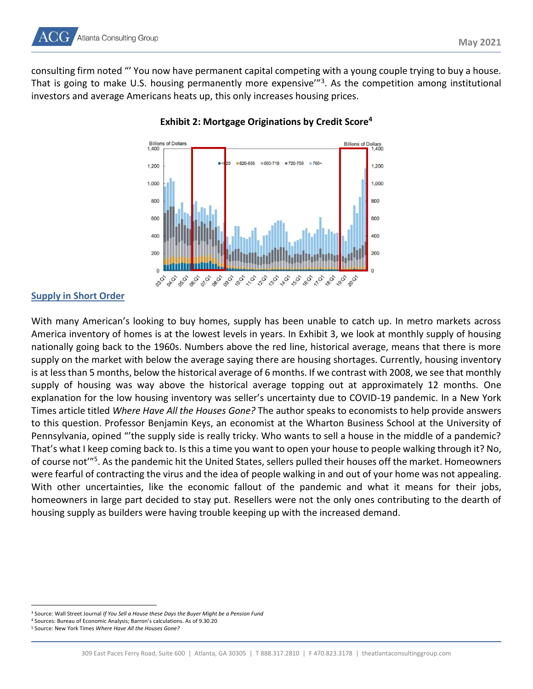

consulting firm noted "' You now have permanent capital competing with a young couple trying to buy a house. That is going to make U.S. housing permanently more expensive'"<sup>3</sup>. As the competition among institutional investors and average Americans heats up, this only increases housing prices.



### **Exhibit 2: Mortgage Originations by Credit Score<sup>4</sup>**

#### **Supply in Short Order**

With many American's looking to buy homes, supply has been unable to catch up. In metro markets across America inventory of homes is at the lowest levels in years. In Exhibit 3, we look at monthly supply of housing nationally going back to the 1960s. Numbers above the red line, historical average, means that there is more supply on the market with below the average saying there are housing shortages. Currently, housing inventory is at less than 5 months, below the historical average of 6 months. If we contrast with 2008, we see that monthly supply of housing was way above the historical average topping out at approximately 12 months. One explanation for the low housing inventory was seller's uncertainty due to COVID-19 pandemic. In a New York Times article titled *Where Have All the Houses Gone?* The author speaks to economists to help provide answers to this question. Professor Benjamin Keys, an economist at the Wharton Business School at the University of Pennsylvania, opined "'the supply side is really tricky. Who wants to sell a house in the middle of a pandemic? That's what I keep coming back to. Is this a time you want to open your house to people walking through it? No, of course not<sup>'"5</sup>. As the pandemic hit the United States, sellers pulled their houses off the market. Homeowners were fearful of contracting the virus and the idea of people walking in and out of your home was not appealing. With other uncertainties, like the economic fallout of the pandemic and what it means for their jobs, homeowners in large part decided to stay put. Resellers were not the only ones contributing to the dearth of housing supply as builders were having trouble keeping up with the increased demand.

<sup>3</sup> Source: Wall Street Journal *If You Sell a House these Days the Buyer Might be a Pension Fund*

<sup>4</sup> Sources: Bureau of Economic Analysis; Barron's calculations. As of 9.30.20

<sup>5</sup> Source: New York Times *Where Have All the Houses Gone?*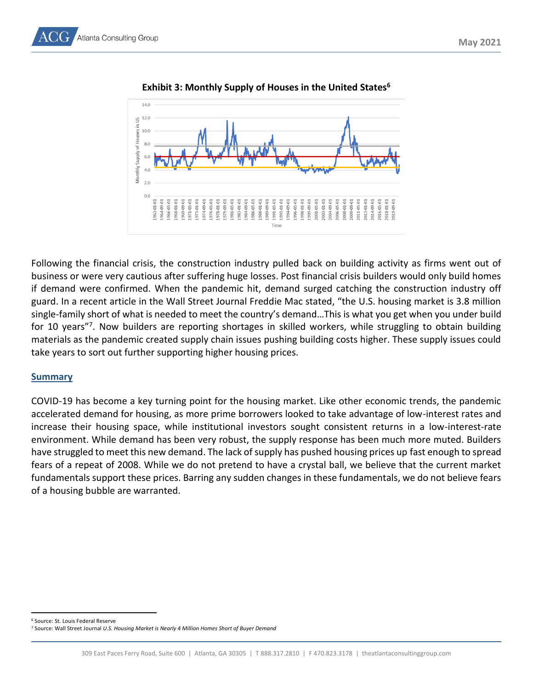

**Exhibit 3: Monthly Supply of Houses in the United States<sup>6</sup>**

Following the financial crisis, the construction industry pulled back on building activity as firms went out of business or were very cautious after suffering huge losses. Post financial crisis builders would only build homes if demand were confirmed. When the pandemic hit, demand surged catching the construction industry off guard. In a recent article in the Wall Street Journal Freddie Mac stated, "the U.S. housing market is 3.8 million single-family short of what is needed to meet the country's demand…This is what you get when you under build for 10 years"<sup>7</sup>. Now builders are reporting shortages in skilled workers, while struggling to obtain building materials as the pandemic created supply chain issues pushing building costs higher. These supply issues could take years to sort out further supporting higher housing prices.

## **Summary**

COVID-19 has become a key turning point for the housing market. Like other economic trends, the pandemic accelerated demand for housing, as more prime borrowers looked to take advantage of low-interest rates and increase their housing space, while institutional investors sought consistent returns in a low-interest-rate environment. While demand has been very robust, the supply response has been much more muted. Builders have struggled to meet this new demand. The lack of supply has pushed housing prices up fast enough to spread fears of a repeat of 2008. While we do not pretend to have a crystal ball, we believe that the current market fundamentals support these prices. Barring any sudden changes in these fundamentals, we do not believe fears of a housing bubble are warranted.

<sup>6</sup> Source: St. Louis Federal Reserve

<sup>7</sup> Source: Wall Street Journal *U.S. Housing Market is Nearly 4 Million Homes Short of Buyer Demand*